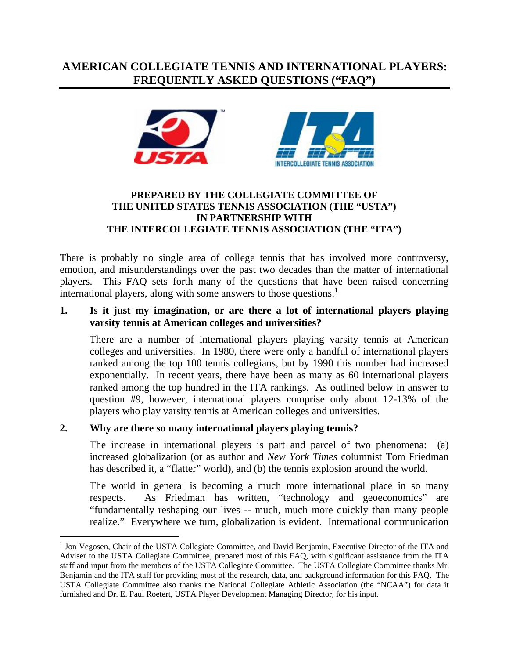# **AMERICAN COLLEGIATE TENNIS AND INTERNATIONAL PLAYERS: FREQUENTLY ASKED QUESTIONS ("FAQ")**





#### **PREPARED BY THE COLLEGIATE COMMITTEE OF THE UNITED STATES TENNIS ASSOCIATION (THE "USTA") IN PARTNERSHIP WITH THE INTERCOLLEGIATE TENNIS ASSOCIATION (THE "ITA")**

There is probably no single area of college tennis that has involved more controversy, emotion, and misunderstandings over the past two decades than the matter of international players. This FAQ sets forth many of the questions that have been raised concerning international players, along with some answers to those questions.<sup>1</sup>

### **1. Is it just my imagination, or are there a lot of international players playing varsity tennis at American colleges and universities?**

There are a number of international players playing varsity tennis at American colleges and universities. In 1980, there were only a handful of international players ranked among the top 100 tennis collegians, but by 1990 this number had increased exponentially. In recent years, there have been as many as 60 international players ranked among the top hundred in the ITA rankings. As outlined below in answer to question #9, however, international players comprise only about 12-13% of the players who play varsity tennis at American colleges and universities.

# **2. Why are there so many international players playing tennis?**

 $\overline{a}$ 

The increase in international players is part and parcel of two phenomena: (a) increased globalization (or as author and *New York Times* columnist Tom Friedman has described it, a "flatter" world), and (b) the tennis explosion around the world.

The world in general is becoming a much more international place in so many respects. As Friedman has written, "technology and geoeconomics" are "fundamentally reshaping our lives -- much, much more quickly than many people realize." Everywhere we turn, globalization is evident. International communication

<sup>&</sup>lt;sup>1</sup> Jon Vegosen, Chair of the USTA Collegiate Committee, and David Benjamin, Executive Director of the ITA and Adviser to the USTA Collegiate Committee, prepared most of this FAQ, with significant assistance from the ITA staff and input from the members of the USTA Collegiate Committee. The USTA Collegiate Committee thanks Mr. Benjamin and the ITA staff for providing most of the research, data, and background information for this FAQ. The USTA Collegiate Committee also thanks the National Collegiate Athletic Association (the "NCAA") for data it furnished and Dr. E. Paul Roetert, USTA Player Development Managing Director, for his input.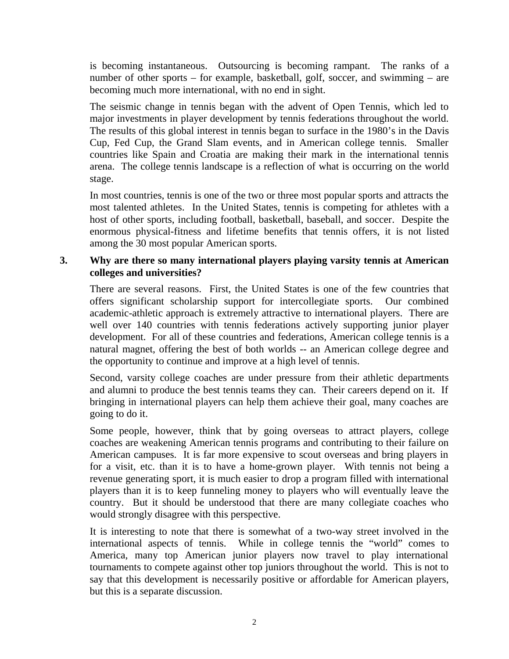is becoming instantaneous. Outsourcing is becoming rampant. The ranks of a number of other sports – for example, basketball, golf, soccer, and swimming – are becoming much more international, with no end in sight.

The seismic change in tennis began with the advent of Open Tennis, which led to major investments in player development by tennis federations throughout the world. The results of this global interest in tennis began to surface in the 1980's in the Davis Cup, Fed Cup, the Grand Slam events, and in American college tennis. Smaller countries like Spain and Croatia are making their mark in the international tennis arena. The college tennis landscape is a reflection of what is occurring on the world stage.

In most countries, tennis is one of the two or three most popular sports and attracts the most talented athletes. In the United States, tennis is competing for athletes with a host of other sports, including football, basketball, baseball, and soccer. Despite the enormous physical-fitness and lifetime benefits that tennis offers, it is not listed among the 30 most popular American sports.

### **3. Why are there so many international players playing varsity tennis at American colleges and universities?**

There are several reasons. First, the United States is one of the few countries that offers significant scholarship support for intercollegiate sports. Our combined academic-athletic approach is extremely attractive to international players. There are well over 140 countries with tennis federations actively supporting junior player development. For all of these countries and federations, American college tennis is a natural magnet, offering the best of both worlds -- an American college degree and the opportunity to continue and improve at a high level of tennis.

Second, varsity college coaches are under pressure from their athletic departments and alumni to produce the best tennis teams they can. Their careers depend on it. If bringing in international players can help them achieve their goal, many coaches are going to do it.

Some people, however, think that by going overseas to attract players, college coaches are weakening American tennis programs and contributing to their failure on American campuses. It is far more expensive to scout overseas and bring players in for a visit, etc. than it is to have a home-grown player. With tennis not being a revenue generating sport, it is much easier to drop a program filled with international players than it is to keep funneling money to players who will eventually leave the country. But it should be understood that there are many collegiate coaches who would strongly disagree with this perspective.

It is interesting to note that there is somewhat of a two-way street involved in the international aspects of tennis. While in college tennis the "world" comes to America, many top American junior players now travel to play international tournaments to compete against other top juniors throughout the world. This is not to say that this development is necessarily positive or affordable for American players, but this is a separate discussion.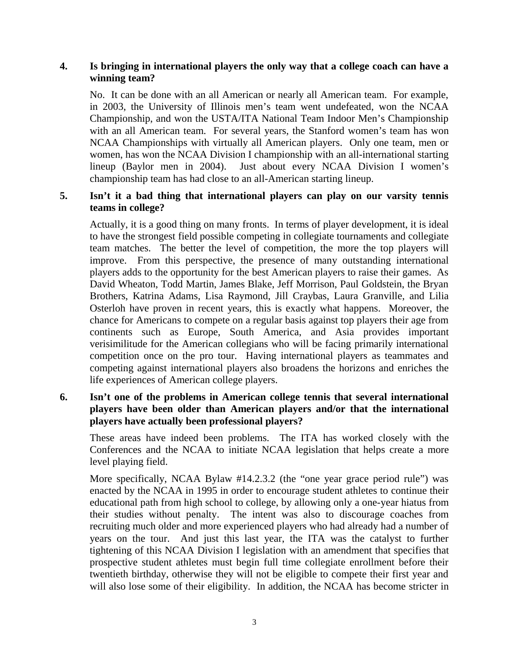### **4. Is bringing in international players the only way that a college coach can have a winning team?**

No. It can be done with an all American or nearly all American team. For example, in 2003, the University of Illinois men's team went undefeated, won the NCAA Championship, and won the USTA/ITA National Team Indoor Men's Championship with an all American team. For several years, the Stanford women's team has won NCAA Championships with virtually all American players. Only one team, men or women, has won the NCAA Division I championship with an all-international starting lineup (Baylor men in 2004). Just about every NCAA Division I women's championship team has had close to an all-American starting lineup.

### **5. Isn't it a bad thing that international players can play on our varsity tennis teams in college?**

Actually, it is a good thing on many fronts. In terms of player development, it is ideal to have the strongest field possible competing in collegiate tournaments and collegiate team matches. The better the level of competition, the more the top players will improve. From this perspective, the presence of many outstanding international players adds to the opportunity for the best American players to raise their games. As David Wheaton, Todd Martin, James Blake, Jeff Morrison, Paul Goldstein, the Bryan Brothers, Katrina Adams, Lisa Raymond, Jill Craybas, Laura Granville, and Lilia Osterloh have proven in recent years, this is exactly what happens. Moreover, the chance for Americans to compete on a regular basis against top players their age from continents such as Europe, South America, and Asia provides important verisimilitude for the American collegians who will be facing primarily international competition once on the pro tour. Having international players as teammates and competing against international players also broadens the horizons and enriches the life experiences of American college players.

### **6. Isn't one of the problems in American college tennis that several international players have been older than American players and/or that the international players have actually been professional players?**

These areas have indeed been problems. The ITA has worked closely with the Conferences and the NCAA to initiate NCAA legislation that helps create a more level playing field.

More specifically, NCAA Bylaw #14.2.3.2 (the "one year grace period rule") was enacted by the NCAA in 1995 in order to encourage student athletes to continue their educational path from high school to college, by allowing only a one-year hiatus from their studies without penalty. The intent was also to discourage coaches from recruiting much older and more experienced players who had already had a number of years on the tour. And just this last year, the ITA was the catalyst to further tightening of this NCAA Division I legislation with an amendment that specifies that prospective student athletes must begin full time collegiate enrollment before their twentieth birthday, otherwise they will not be eligible to compete their first year and will also lose some of their eligibility. In addition, the NCAA has become stricter in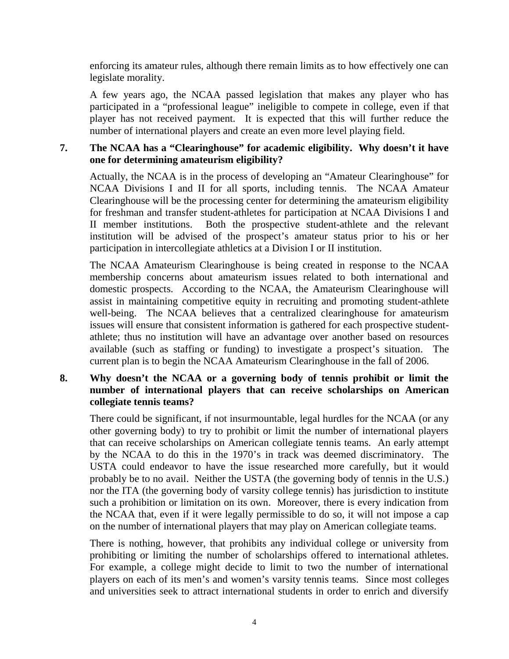enforcing its amateur rules, although there remain limits as to how effectively one can legislate morality.

A few years ago, the NCAA passed legislation that makes any player who has participated in a "professional league" ineligible to compete in college, even if that player has not received payment. It is expected that this will further reduce the number of international players and create an even more level playing field.

# **7. The NCAA has a "Clearinghouse" for academic eligibility. Why doesn't it have one for determining amateurism eligibility?**

Actually, the NCAA is in the process of developing an "Amateur Clearinghouse" for NCAA Divisions I and II for all sports, including tennis. The NCAA Amateur Clearinghouse will be the processing center for determining the amateurism eligibility for freshman and transfer student-athletes for participation at NCAA Divisions I and II member institutions. Both the prospective student-athlete and the relevant institution will be advised of the prospect's amateur status prior to his or her participation in intercollegiate athletics at a Division I or II institution.

The NCAA Amateurism Clearinghouse is being created in response to the NCAA membership concerns about amateurism issues related to both international and domestic prospects. According to the NCAA, the Amateurism Clearinghouse will assist in maintaining competitive equity in recruiting and promoting student-athlete well-being. The NCAA believes that a centralized clearinghouse for amateurism issues will ensure that consistent information is gathered for each prospective studentathlete; thus no institution will have an advantage over another based on resources available (such as staffing or funding) to investigate a prospect's situation. The current plan is to begin the NCAA Amateurism Clearinghouse in the fall of 2006.

### **8. Why doesn't the NCAA or a governing body of tennis prohibit or limit the number of international players that can receive scholarships on American collegiate tennis teams?**

There could be significant, if not insurmountable, legal hurdles for the NCAA (or any other governing body) to try to prohibit or limit the number of international players that can receive scholarships on American collegiate tennis teams. An early attempt by the NCAA to do this in the 1970's in track was deemed discriminatory. The USTA could endeavor to have the issue researched more carefully, but it would probably be to no avail. Neither the USTA (the governing body of tennis in the U.S.) nor the ITA (the governing body of varsity college tennis) has jurisdiction to institute such a prohibition or limitation on its own. Moreover, there is every indication from the NCAA that, even if it were legally permissible to do so, it will not impose a cap on the number of international players that may play on American collegiate teams.

There is nothing, however, that prohibits any individual college or university from prohibiting or limiting the number of scholarships offered to international athletes. For example, a college might decide to limit to two the number of international players on each of its men's and women's varsity tennis teams. Since most colleges and universities seek to attract international students in order to enrich and diversify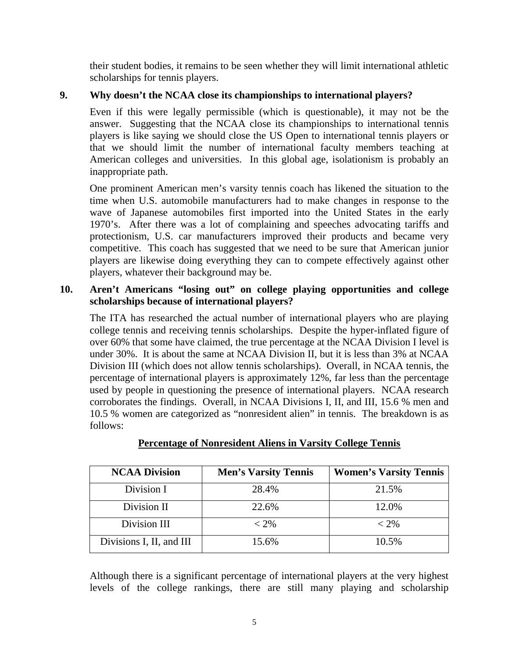their student bodies, it remains to be seen whether they will limit international athletic scholarships for tennis players.

# **9. Why doesn't the NCAA close its championships to international players?**

Even if this were legally permissible (which is questionable), it may not be the answer. Suggesting that the NCAA close its championships to international tennis players is like saying we should close the US Open to international tennis players or that we should limit the number of international faculty members teaching at American colleges and universities. In this global age, isolationism is probably an inappropriate path.

One prominent American men's varsity tennis coach has likened the situation to the time when U.S. automobile manufacturers had to make changes in response to the wave of Japanese automobiles first imported into the United States in the early 1970's. After there was a lot of complaining and speeches advocating tariffs and protectionism, U.S. car manufacturers improved their products and became very competitive. This coach has suggested that we need to be sure that American junior players are likewise doing everything they can to compete effectively against other players, whatever their background may be.

### **10. Aren't Americans "losing out" on college playing opportunities and college scholarships because of international players?**

The ITA has researched the actual number of international players who are playing college tennis and receiving tennis scholarships. Despite the hyper-inflated figure of over 60% that some have claimed, the true percentage at the NCAA Division I level is under 30%. It is about the same at NCAA Division II, but it is less than 3% at NCAA Division III (which does not allow tennis scholarships). Overall, in NCAA tennis, the percentage of international players is approximately 12%, far less than the percentage used by people in questioning the presence of international players. NCAA research corroborates the findings. Overall, in NCAA Divisions I, II, and III, 15.6 % men and 10.5 % women are categorized as "nonresident alien" in tennis. The breakdown is as follows:

| <b>NCAA Division</b>     | <b>Men's Varsity Tennis</b> | <b>Women's Varsity Tennis</b> |
|--------------------------|-----------------------------|-------------------------------|
| Division I               | 28.4%                       | 21.5%                         |
| Division II              | 22.6%                       | 12.0%                         |
| Division III             | $< 2\%$                     | $< 2\%$                       |
| Divisions I, II, and III | 15.6%                       | 10.5%                         |

# **Percentage of Nonresident Aliens in Varsity College Tennis**

Although there is a significant percentage of international players at the very highest levels of the college rankings, there are still many playing and scholarship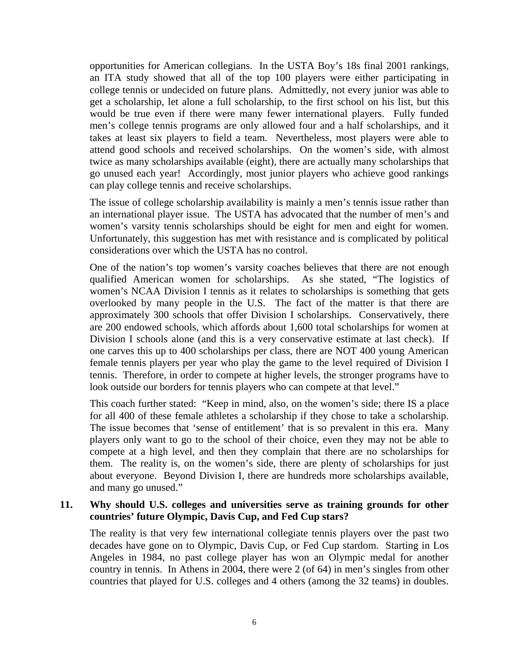opportunities for American collegians. In the USTA Boy's 18s final 2001 rankings, an ITA study showed that all of the top 100 players were either participating in college tennis or undecided on future plans. Admittedly, not every junior was able to get a scholarship, let alone a full scholarship, to the first school on his list, but this would be true even if there were many fewer international players. Fully funded men's college tennis programs are only allowed four and a half scholarships, and it takes at least six players to field a team. Nevertheless, most players were able to attend good schools and received scholarships. On the women's side, with almost twice as many scholarships available (eight), there are actually many scholarships that go unused each year! Accordingly, most junior players who achieve good rankings can play college tennis and receive scholarships.

The issue of college scholarship availability is mainly a men's tennis issue rather than an international player issue. The USTA has advocated that the number of men's and women's varsity tennis scholarships should be eight for men and eight for women. Unfortunately, this suggestion has met with resistance and is complicated by political considerations over which the USTA has no control.

One of the nation's top women's varsity coaches believes that there are not enough qualified American women for scholarships. As she stated, "The logistics of women's NCAA Division I tennis as it relates to scholarships is something that gets overlooked by many people in the U.S. The fact of the matter is that there are approximately 300 schools that offer Division I scholarships. Conservatively, there are 200 endowed schools, which affords about 1,600 total scholarships for women at Division I schools alone (and this is a very conservative estimate at last check). If one carves this up to 400 scholarships per class, there are NOT 400 young American female tennis players per year who play the game to the level required of Division I tennis. Therefore, in order to compete at higher levels, the stronger programs have to look outside our borders for tennis players who can compete at that level."

This coach further stated: "Keep in mind, also, on the women's side; there IS a place for all 400 of these female athletes a scholarship if they chose to take a scholarship. The issue becomes that 'sense of entitlement' that is so prevalent in this era. Many players only want to go to the school of their choice, even they may not be able to compete at a high level, and then they complain that there are no scholarships for them. The reality is, on the women's side, there are plenty of scholarships for just about everyone. Beyond Division I, there are hundreds more scholarships available, and many go unused."

#### **11. Why should U.S. colleges and universities serve as training grounds for other countries' future Olympic, Davis Cup, and Fed Cup stars?**

The reality is that very few international collegiate tennis players over the past two decades have gone on to Olympic, Davis Cup, or Fed Cup stardom. Starting in Los Angeles in 1984, no past college player has won an Olympic medal for another country in tennis. In Athens in 2004, there were 2 (of 64) in men's singles from other countries that played for U.S. colleges and 4 others (among the 32 teams) in doubles.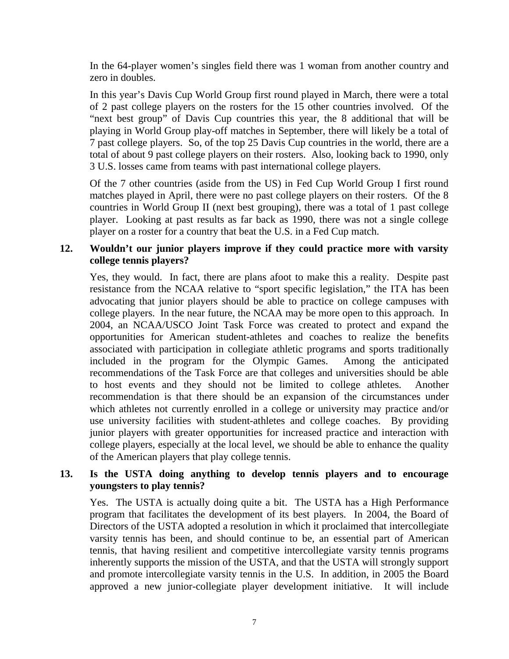In the 64-player women's singles field there was 1 woman from another country and zero in doubles.

In this year's Davis Cup World Group first round played in March, there were a total of 2 past college players on the rosters for the 15 other countries involved. Of the "next best group" of Davis Cup countries this year, the 8 additional that will be playing in World Group play-off matches in September, there will likely be a total of 7 past college players. So, of the top 25 Davis Cup countries in the world, there are a total of about 9 past college players on their rosters. Also, looking back to 1990, only 3 U.S. losses came from teams with past international college players.

Of the 7 other countries (aside from the US) in Fed Cup World Group I first round matches played in April, there were no past college players on their rosters. Of the 8 countries in World Group II (next best grouping), there was a total of 1 past college player. Looking at past results as far back as 1990, there was not a single college player on a roster for a country that beat the U.S. in a Fed Cup match.

### **12. Wouldn't our junior players improve if they could practice more with varsity college tennis players?**

Yes, they would. In fact, there are plans afoot to make this a reality. Despite past resistance from the NCAA relative to "sport specific legislation," the ITA has been advocating that junior players should be able to practice on college campuses with college players. In the near future, the NCAA may be more open to this approach. In 2004, an NCAA/USCO Joint Task Force was created to protect and expand the opportunities for American student-athletes and coaches to realize the benefits associated with participation in collegiate athletic programs and sports traditionally included in the program for the Olympic Games. Among the anticipated recommendations of the Task Force are that colleges and universities should be able to host events and they should not be limited to college athletes. Another recommendation is that there should be an expansion of the circumstances under which athletes not currently enrolled in a college or university may practice and/or use university facilities with student-athletes and college coaches. By providing junior players with greater opportunities for increased practice and interaction with college players, especially at the local level, we should be able to enhance the quality of the American players that play college tennis.

### **13. Is the USTA doing anything to develop tennis players and to encourage youngsters to play tennis?**

Yes. The USTA is actually doing quite a bit. The USTA has a High Performance program that facilitates the development of its best players. In 2004, the Board of Directors of the USTA adopted a resolution in which it proclaimed that intercollegiate varsity tennis has been, and should continue to be, an essential part of American tennis, that having resilient and competitive intercollegiate varsity tennis programs inherently supports the mission of the USTA, and that the USTA will strongly support and promote intercollegiate varsity tennis in the U.S. In addition, in 2005 the Board approved a new junior-collegiate player development initiative. It will include